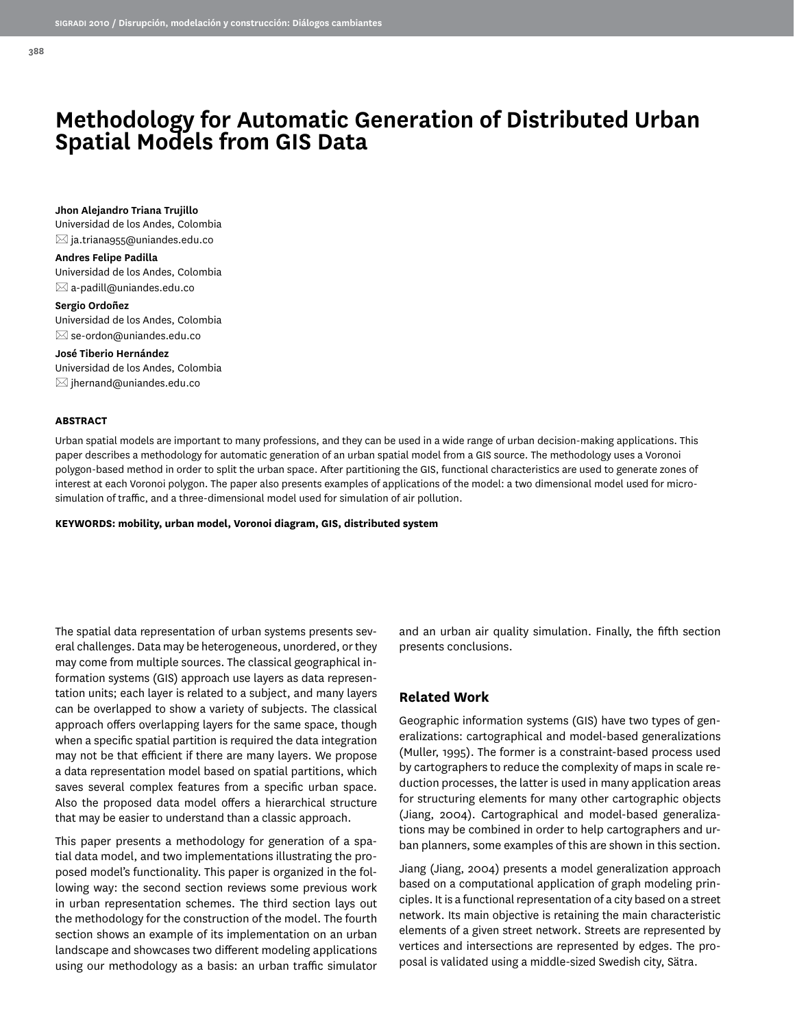# **Methodology for Automatic Generation of Distributed Urban Spatial Models from GIS Data**

**Jhon Alejandro Triana Trujillo** Universidad de los Andes, Colombia  $\boxtimes$  ja.triana955@uniandes.edu.co

**Andres Felipe Padilla** Universidad de los Andes, Colombia  $\boxtimes$  a-padill@uniandes.edu.co

**Sergio Ordoñez** Universidad de los Andes, Colombia  $\boxtimes$  se-ordon@uniandes.edu.co

**José Tiberio Hernández** Universidad de los Andes, Colombia  $\boxtimes$  jhernand@uniandes.edu.co

#### **ABSTRACT**

Urban spatial models are important to many professions, and they can be used in a wide range of urban decision-making applications. This paper describes a methodology for automatic generation of an urban spatial model from a GIS source. The methodology uses a Voronoi polygon-based method in order to split the urban space. After partitioning the GIS, functional characteristics are used to generate zones of interest at each Voronoi polygon. The paper also presents examples of applications of the model: a two dimensional model used for microsimulation of traffic, and a three-dimensional model used for simulation of air pollution.

**KEYWORDS: mobility, urban model, Voronoi diagram, GIS, distributed system**

The spatial data representation of urban systems presents several challenges. Data may be heterogeneous, unordered, or they may come from multiple sources. The classical geographical information systems (GIS) approach use layers as data representation units; each layer is related to a subject, and many layers can be overlapped to show a variety of subjects. The classical approach offers overlapping layers for the same space, though when a specific spatial partition is required the data integration may not be that efficient if there are many layers. We propose a data representation model based on spatial partitions, which saves several complex features from a specific urban space. Also the proposed data model offers a hierarchical structure that may be easier to understand than a classic approach.

This paper presents a methodology for generation of a spatial data model, and two implementations illustrating the proposed model's functionality. This paper is organized in the following way: the second section reviews some previous work in urban representation schemes. The third section lays out the methodology for the construction of the model. The fourth section shows an example of its implementation on an urban landscape and showcases two different modeling applications using our methodology as a basis: an urban traffic simulator and an urban air quality simulation. Finally, the fifth section presents conclusions.

### **Related Work**

Geographic information systems (GIS) have two types of generalizations: cartographical and model-based generalizations (Muller, 1995). The former is a constraint-based process used by cartographers to reduce the complexity of maps in scale reduction processes, the latter is used in many application areas for structuring elements for many other cartographic objects (Jiang, 2004). Cartographical and model-based generalizations may be combined in order to help cartographers and urban planners, some examples of this are shown in this section.

Jiang (Jiang, 2004) presents a model generalization approach based on a computational application of graph modeling principles. It is a functional representation of a city based on a street network. Its main objective is retaining the main characteristic elements of a given street network. Streets are represented by vertices and intersections are represented by edges. The proposal is validated using a middle-sized Swedish city, Sätra.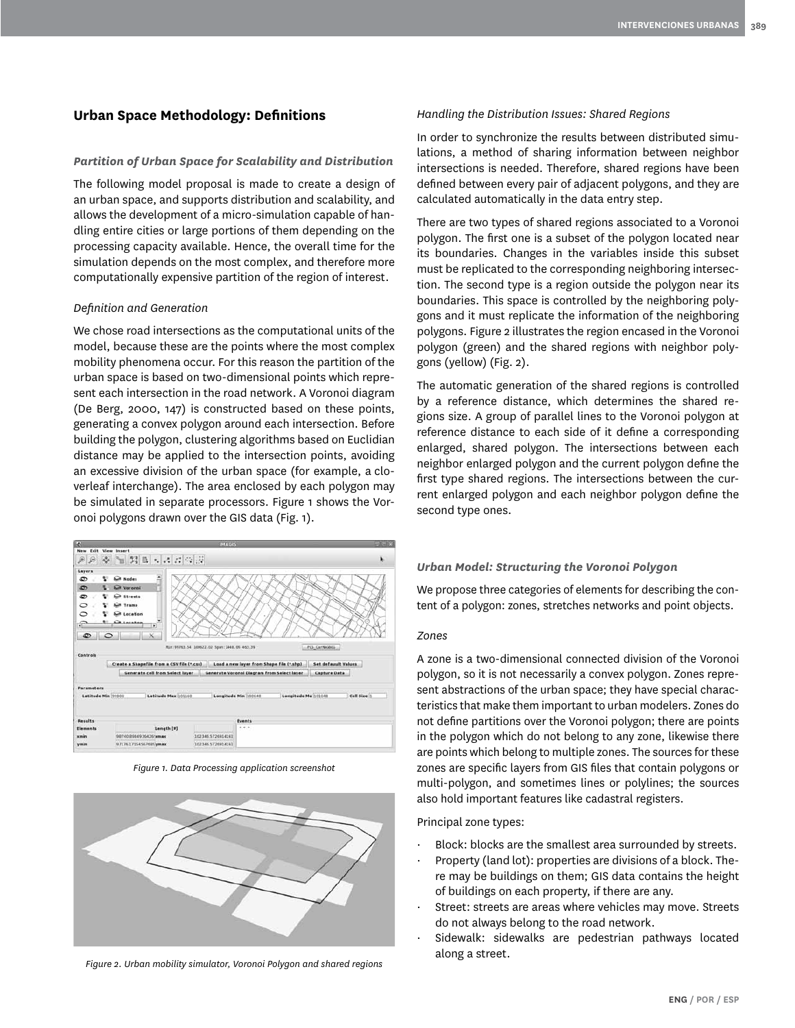## **Urban Space Methodology: Definitions**

#### *Partition of Urban Space for Scalability and Distribution*

The following model proposal is made to create a design of an urban space, and supports distribution and scalability, and allows the development of a micro-simulation capable of handling entire cities or large portions of them depending on the processing capacity available. Hence, the overall time for the simulation depends on the most complex, and therefore more computationally expensive partition of the region of interest.

#### *Definition and Generation*

We chose road intersections as the computational units of the model, because these are the points where the most complex mobility phenomena occur. For this reason the partition of the urban space is based on two-dimensional points which represent each intersection in the road network. A Voronoi diagram (De Berg, 2000, 147) is constructed based on these points, generating a convex polygon around each intersection. Before building the polygon, clustering algorithms based on Euclidian distance may be applied to the intersection points, avoiding an excessive division of the urban space (for example, a cloverleaf interchange). The area enclosed by each polygon may be simulated in separate processors. Figure 1 shows the Voronoi polygons drawn over the GIS data (Fig. 1).



*Figure 1. Data Processing application screenshot*



*Figure 2. Urban mobility simulator, Voronoi Polygon and shared regions*

#### *Handling the Distribution Issues: Shared Regions*

In order to synchronize the results between distributed simulations, a method of sharing information between neighbor intersections is needed. Therefore, shared regions have been defined between every pair of adjacent polygons, and they are calculated automatically in the data entry step.

There are two types of shared regions associated to a Voronoi polygon. The first one is a subset of the polygon located near its boundaries. Changes in the variables inside this subset must be replicated to the corresponding neighboring intersection. The second type is a region outside the polygon near its boundaries. This space is controlled by the neighboring polygons and it must replicate the information of the neighboring polygons. Figure 2 illustrates the region encased in the Voronoi polygon (green) and the shared regions with neighbor polygons (yellow) (Fig. 2).

The automatic generation of the shared regions is controlled by a reference distance, which determines the shared regions size. A group of parallel lines to the Voronoi polygon at reference distance to each side of it define a corresponding enlarged, shared polygon. The intersections between each neighbor enlarged polygon and the current polygon define the first type shared regions. The intersections between the current enlarged polygon and each neighbor polygon define the second type ones.

#### *Urban Model: Structuring the Voronoi Polygon*

We propose three categories of elements for describing the content of a polygon: zones, stretches networks and point objects.

#### *Zones*

A zone is a two-dimensional connected division of the Voronoi polygon, so it is not necessarily a convex polygon. Zones represent abstractions of the urban space; they have special characteristics that make them important to urban modelers. Zones do not define partitions over the Voronoi polygon; there are points in the polygon which do not belong to any zone, likewise there are points which belong to multiple zones. The sources for these zones are specific layers from GIS files that contain polygons or multi-polygon, and sometimes lines or polylines; the sources also hold important features like cadastral registers.

Principal zone types:

- · Block: blocks are the smallest area surrounded by streets.
- · Property (land lot): properties are divisions of a block. There may be buildings on them; GIS data contains the height of buildings on each property, if there are any.
- Street: streets are areas where vehicles may move. Streets do not always belong to the road network.
- Sidewalk: sidewalks are pedestrian pathways located along a street.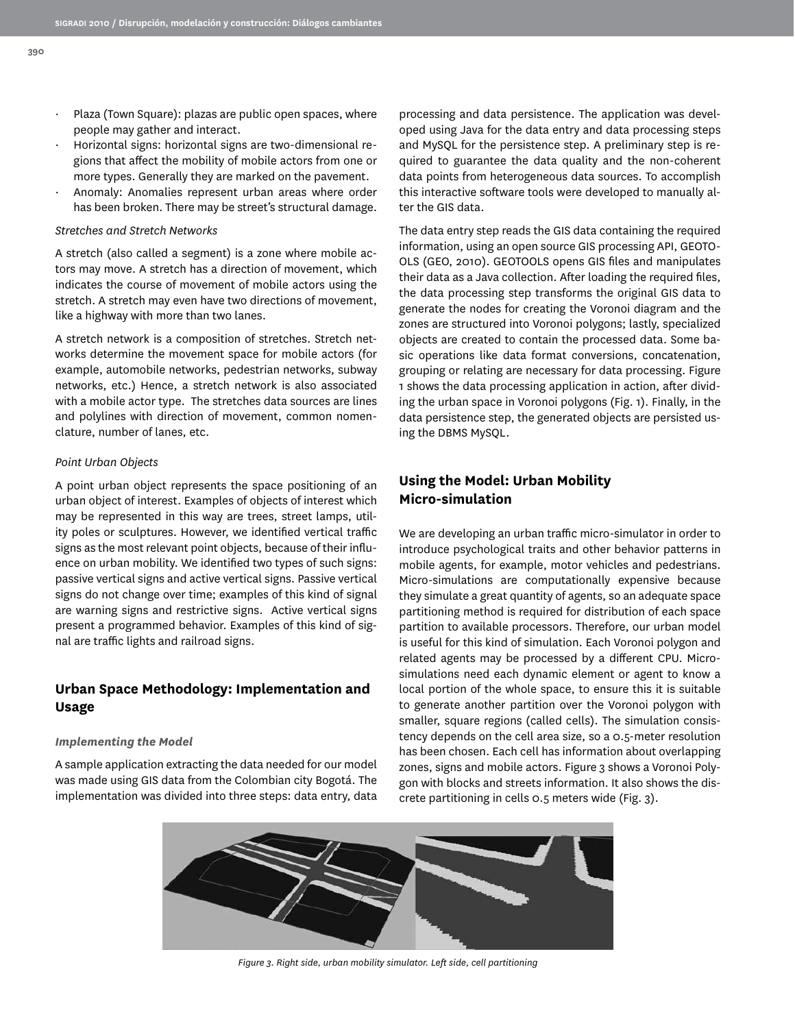- Plaza (Town Square): plazas are public open spaces, where people may gather and interact.
- · Horizontal signs: horizontal signs are two-dimensional regions that affect the mobility of mobile actors from one or more types. Generally they are marked on the pavement.
- Anomaly: Anomalies represent urban areas where order has been broken. There may be street's structural damage.

#### *Stretches and Stretch Networks*

A stretch (also called a segment) is a zone where mobile actors may move. A stretch has a direction of movement, which indicates the course of movement of mobile actors using the stretch. A stretch may even have two directions of movement, like a highway with more than two lanes.

A stretch network is a composition of stretches. Stretch networks determine the movement space for mobile actors (for example, automobile networks, pedestrian networks, subway networks, etc.) Hence, a stretch network is also associated with a mobile actor type. The stretches data sources are lines and polylines with direction of movement, common nomenclature, number of lanes, etc.

#### *Point Urban Objects*

A point urban object represents the space positioning of an urban object of interest. Examples of objects of interest which may be represented in this way are trees, street lamps, utility poles or sculptures. However, we identified vertical traffic signs as the most relevant point objects, because of their influence on urban mobility. We identified two types of such signs: passive vertical signs and active vertical signs. Passive vertical signs do not change over time; examples of this kind of signal are warning signs and restrictive signs. Active vertical signs present a programmed behavior. Examples of this kind of signal are traffic lights and railroad signs.

## **Urban Space Methodology: Implementation and Usage**

#### *Implementing the Model*

A sample application extracting the data needed for our model was made using GIS data from the Colombian city Bogotá. The implementation was divided into three steps: data entry, data

processing and data persistence. The application was developed using Java for the data entry and data processing steps and MySQL for the persistence step. A preliminary step is required to guarantee the data quality and the non-coherent data points from heterogeneous data sources. To accomplish this interactive software tools were developed to manually alter the GIS data.

The data entry step reads the GIS data containing the required information, using an open source GIS processing API, GEOTO-OLS (GEO, 2010). GEOTOOLS opens GIS files and manipulates their data as a Java collection. After loading the required files, the data processing step transforms the original GIS data to generate the nodes for creating the Voronoi diagram and the zones are structured into Voronoi polygons; lastly, specialized objects are created to contain the processed data. Some basic operations like data format conversions, concatenation, grouping or relating are necessary for data processing. Figure 1 shows the data processing application in action, after dividing the urban space in Voronoi polygons (Fig. 1). Finally, in the data persistence step, the generated objects are persisted using the DBMS MySQL.

# **Using the Model: Urban Mobility Micro-simulation**

We are developing an urban traffic micro-simulator in order to introduce psychological traits and other behavior patterns in mobile agents, for example, motor vehicles and pedestrians. Micro-simulations are computationally expensive because they simulate a great quantity of agents, so an adequate space partitioning method is required for distribution of each space partition to available processors. Therefore, our urban model is useful for this kind of simulation. Each Voronoi polygon and related agents may be processed by a different CPU. Microsimulations need each dynamic element or agent to know a local portion of the whole space, to ensure this it is suitable to generate another partition over the Voronoi polygon with smaller, square regions (called cells). The simulation consistency depends on the cell area size, so a 0.5-meter resolution has been chosen. Each cell has information about overlapping zones, signs and mobile actors. Figure 3 shows a Voronoi Polygon with blocks and streets information. It also shows the discrete partitioning in cells 0.5 meters wide (Fig. 3).



*Figure 3. Right side, urban mobility simulator. Left side, cell partitioning*